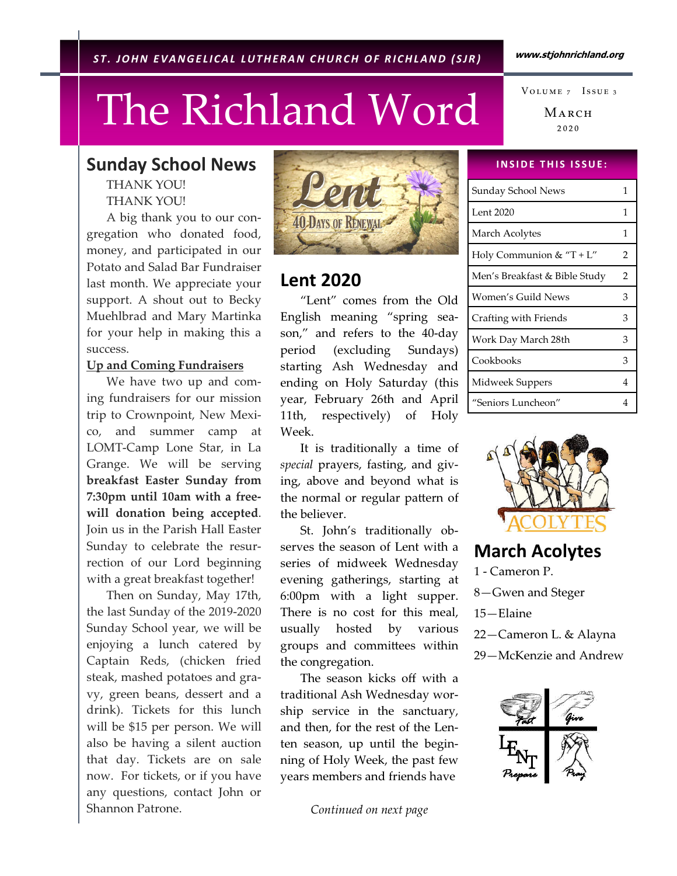www.stjohnrichland.org

## The Richland Word

MARCH  $2020$ VOLUME 7 ISSUE 3

## Sunday School News

THANK YOU! THANK YOU!

 A big thank you to our congregation who donated food, money, and participated in our Potato and Salad Bar Fundraiser last month. We appreciate your support. A shout out to Becky Muehlbrad and Mary Martinka for your help in making this a success.

## Up and Coming Fundraisers

 We have two up and coming fundraisers for our mission trip to Crownpoint, New Mexico, and summer camp at LOMT-Camp Lone Star, in La Grange. We will be serving breakfast Easter Sunday from 7:30pm until 10am with a freewill donation being accepted. Join us in the Parish Hall Easter Sunday to celebrate the resurrection of our Lord beginning with a great breakfast together!

 Then on Sunday, May 17th, the last Sunday of the 2019-2020 Sunday School year, we will be enjoying a lunch catered by Captain Reds, (chicken fried steak, mashed potatoes and gravy, green beans, dessert and a drink). Tickets for this lunch will be \$15 per person. We will also be having a silent auction that day. Tickets are on sale now. For tickets, or if you have any questions, contact John or Shannon Patrone.



## Lent 2020

 "Lent" comes from the Old English meaning "spring season," and refers to the 40-day period (excluding Sundays) starting Ash Wednesday and ending on Holy Saturday (this year, February 26th and April 11th, respectively) of Holy Week.

 It is traditionally a time of special prayers, fasting, and giving, above and beyond what is the normal or regular pattern of the believer.

 St. John's traditionally observes the season of Lent with a series of midweek Wednesday evening gatherings, starting at 6:00pm with a light supper. There is no cost for this meal, usually hosted by various groups and committees within the congregation.

 The season kicks off with a traditional Ash Wednesday worship service in the sanctuary, and then, for the rest of the Lenten season, up until the beginning of Holy Week, the past few years members and friends have

Continued on next page

## **INSIDE THIS ISSUE:**

| Sunday School News            |   |
|-------------------------------|---|
| Lent 2020                     | 1 |
| March Acolytes                | 1 |
| Holy Communion & "T + $L$ "   | 2 |
| Men's Breakfast & Bible Study | 2 |
| Women′s Guild News            | 3 |
| Crafting with Friends         | 3 |
| Work Day March 28th           | 3 |
| Cookbooks                     | 3 |
| Midweek Suppers               | 4 |
| "Seniors Luncheon"            |   |



## March Acolytes

1 - Cameron P. 8—Gwen and Steger 15—Elaine 22—Cameron L. & Alayna 29—McKenzie and Andrew

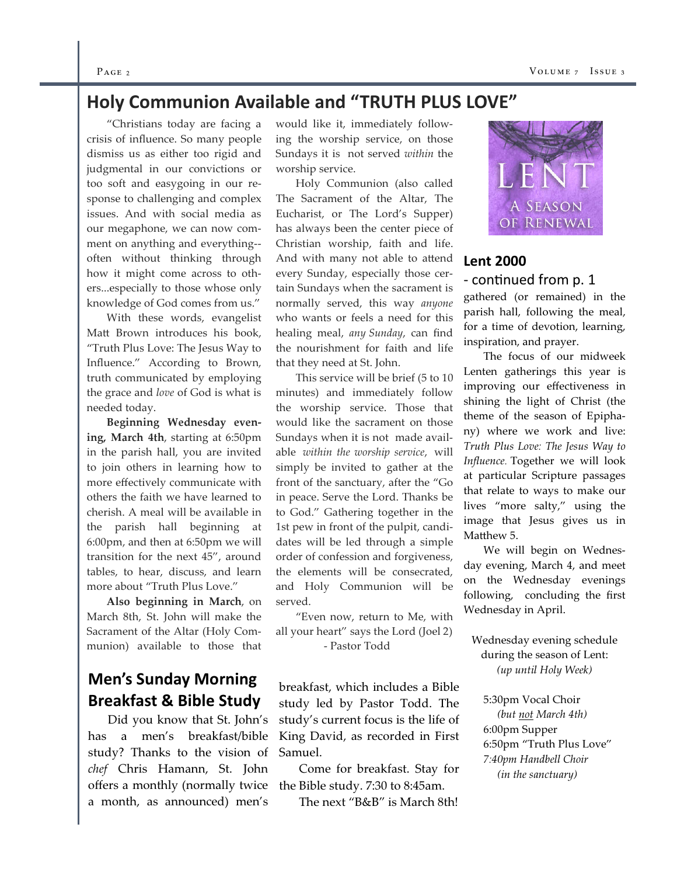#### $P_{\text{AGE 2}}$  Vo

## Holy Communion Available and "TRUTH PLUS LOVE"

 "Christians today are facing a crisis of influence. So many people dismiss us as either too rigid and judgmental in our convictions or too soft and easygoing in our response to challenging and complex issues. And with social media as our megaphone, we can now comment on anything and everything- often without thinking through how it might come across to others...especially to those whose only knowledge of God comes from us."

 With these words, evangelist Matt Brown introduces his book, "Truth Plus Love: The Jesus Way to Influence." According to Brown, truth communicated by employing the grace and love of God is what is needed today.

Beginning Wednesday evening, March 4th, starting at 6:50pm in the parish hall, you are invited to join others in learning how to more effectively communicate with others the faith we have learned to cherish. A meal will be available in the parish hall beginning at 6:00pm, and then at 6:50pm we will transition for the next 45", around tables, to hear, discuss, and learn more about "Truth Plus Love."

Also beginning in March, on March 8th, St. John will make the Sacrament of the Altar (Holy Communion) available to those that

## Men's Sunday Morning Breakfast & Bible Study

 Did you know that St. John's has a men's breakfast/bible study? Thanks to the vision of chef Chris Hamann, St. John offers a monthly (normally twice the Bible study. 7:30 to 8:45am. a month, as announced) men's

would like it, immediately following the worship service, on those Sundays it is not served within the worship service.

 Holy Communion (also called The Sacrament of the Altar, The Eucharist, or The Lord's Supper) has always been the center piece of Christian worship, faith and life. And with many not able to attend every Sunday, especially those certain Sundays when the sacrament is normally served, this way anyone who wants or feels a need for this healing meal, any Sunday, can find the nourishment for faith and life that they need at St. John.

 This service will be brief (5 to 10 minutes) and immediately follow the worship service. Those that would like the sacrament on those Sundays when it is not made available within the worship service, will simply be invited to gather at the front of the sanctuary, after the "Go in peace. Serve the Lord. Thanks be to God." Gathering together in the 1st pew in front of the pulpit, candidates will be led through a simple order of confession and forgiveness, the elements will be consecrated, and Holy Communion will be served.

 "Even now, return to Me, with all your heart" says the Lord (Joel 2) - Pastor Todd

breakfast, which includes a Bible study led by Pastor Todd. The study's current focus is the life of King David, as recorded in First Samuel.

Come for breakfast. Stay for

The next "B&B" is March 8th!



## Lent 2000 - continued from p. 1

gathered (or remained) in the parish hall, following the meal, for a time of devotion, learning, inspiration, and prayer.

 The focus of our midweek Lenten gatherings this year is improving our effectiveness in shining the light of Christ (the theme of the season of Epiphany) where we work and live: Truth Plus Love: The Jesus Way to Influence. Together we will look at particular Scripture passages that relate to ways to make our lives "more salty," using the image that Jesus gives us in Matthew 5.

 We will begin on Wednesday evening, March 4, and meet on the Wednesday evenings following, concluding the first Wednesday in April.

Wednesday evening schedule during the season of Lent: (up until Holy Week)

 5:30pm Vocal Choir (but not March 4th) 6:00pm Supper 6:50pm "Truth Plus Love" 7:40pm Handbell Choir (in the sanctuary)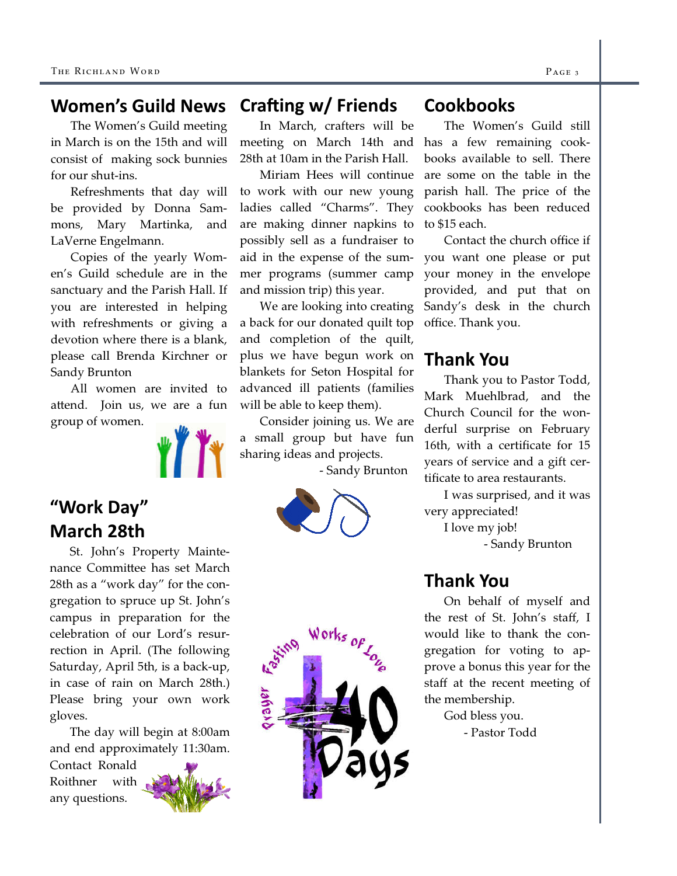#### Crafting  $w/$  Friends Women's Guild News

 The Women's Guild meeting in March is on the 15th and will consist of making sock bunnies for our shut-ins.

 Refreshments that day will be provided by Donna Sammons, Mary Martinka, and LaVerne Engelmann.

 Copies of the yearly Women's Guild schedule are in the sanctuary and the Parish Hall. If you are interested in helping with refreshments or giving a devotion where there is a blank, please call Brenda Kirchner or Sandy Brunton

 All women are invited to attend. Join us, we are a fun group of women.



## "Work Day" March 28th

 St. John's Property Maintenance Committee has set March 28th as a "work day" for the congregation to spruce up St. John's campus in preparation for the celebration of our Lord's resurrection in April. (The following Saturday, April 5th, is a back-up, in case of rain on March 28th.) Please bring your own work gloves.

 The day will begin at 8:00am and end approximately 11:30am.

Contact Ronald Roithner with any questions.



In March, crafters will be meeting on March 14th and 28th at 10am in the Parish Hall.

 Miriam Hees will continue to work with our new young ladies called "Charms". They are making dinner napkins to possibly sell as a fundraiser to aid in the expense of the summer programs (summer camp and mission trip) this year.

 We are looking into creating a back for our donated quilt top and completion of the quilt, plus we have begun work on blankets for Seton Hospital for advanced ill patients (families will be able to keep them).

 Consider joining us. We are a small group but have fun sharing ideas and projects.

- Sandy Brunton



## **Cookbooks**

 The Women's Guild still has a few remaining cookbooks available to sell. There are some on the table in the parish hall. The price of the cookbooks has been reduced to \$15 each.

 Contact the church office if you want one please or put your money in the envelope provided, and put that on Sandy's desk in the church office. Thank you.

## Thank You

 Thank you to Pastor Todd, Mark Muehlbrad, and the Church Council for the wonderful surprise on February 16th, with a certificate for 15 years of service and a gift certificate to area restaurants.

 I was surprised, and it was very appreciated!

I love my job!

- Sandy Brunton

## Thank You

 On behalf of myself and the rest of St. John's staff, I would like to thank the congregation for voting to approve a bonus this year for the staff at the recent meeting of the membership.

 God bless you. - Pastor Todd